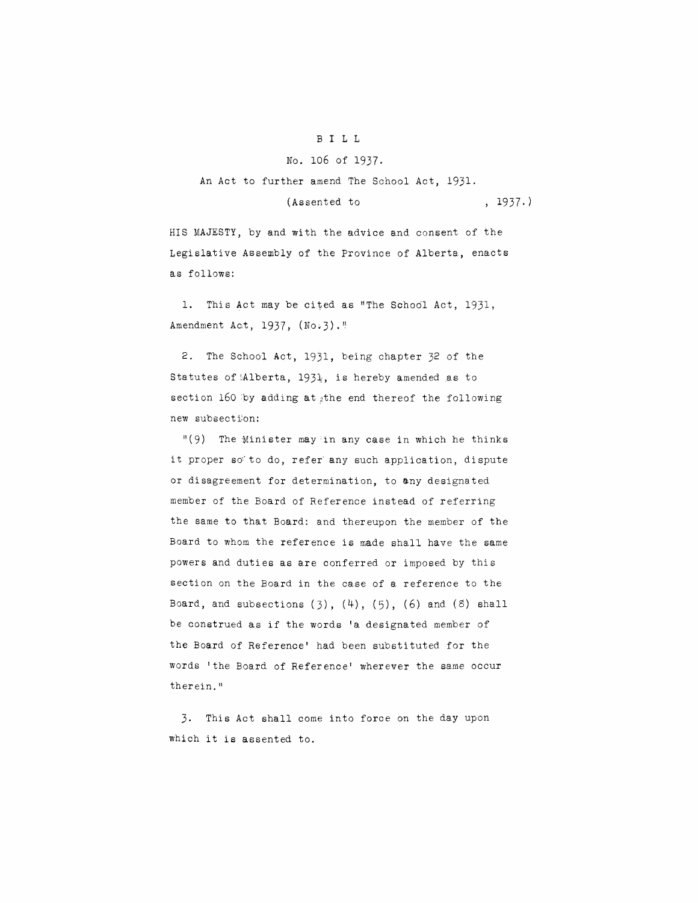## B ILL

## No. 106 of 1937.

An Act to further amend The School Act, 1931.

## (Assented to , 1937.)

HIS MAJESTY, by and with the advice and consent of the Legislative Assembly of the Province of Alberta, enacts as follows:

**1.** This Act may be cited as "The Schodl Act, 1931, Amendment Act,  $1937$ ,  $(No.3)$ ."

2. The School Act, 1931, being chapter 32 of the Statutes of (Alberta, 1931;, is hereby amended as to section 160 by adding at the end thereof the following new subsection:

 $\mathsf{I}(\mathsf{9})$  The Minister may in any case in which he thinks it proper so to do, refer any such application, dispute or disagreement for determination, to any designated member of the Board of Reference instead of referring the same to that Board: and thereupon the member of the Board to whom the reference is made shall have the same powers and duties as are conferred or imposed by this section on the Board in the case of a reference to the Board, and subsections  $(3)$ ,  $(4)$ ,  $(5)$ ,  $(6)$  and  $(8)$  shall be construed as if the words **'a** designated member of the Board of Reference' had been substituted for the words 'the Board of Reference' wherever the same occur therein. "

3. This Act shall come into force on the day upon which it is assented to.